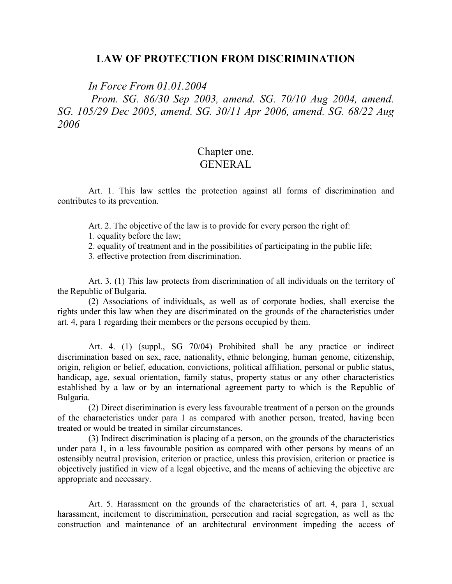#### **LAW OF PROTECTION FROM DISCRIMINATION**

*In Force From 01.01.2004* 

 *Prom. SG. 86/30 Sep 2003, amend. SG. 70/10 Aug 2004, amend. SG. 105/29 Dec 2005, amend. SG. 30/11 Apr 2006, amend. SG. 68/22 Aug 2006* 

## Chapter one. GENERAL

Art. 1. This law settles the protection against all forms of discrimination and contributes to its prevention.

Art. 2. The objective of the law is to provide for every person the right of:

1. equality before the law;

2. equality of treatment and in the possibilities of participating in the public life;

3. effective protection from discrimination.

Art. 3. (1) This law protects from discrimination of all individuals on the territory of the Republic of Bulgaria.

(2) Associations of individuals, as well as of corporate bodies, shall exercise the rights under this law when they are discriminated on the grounds of the characteristics under art. 4, para 1 regarding their members or the persons occupied by them.

Art. 4. (1) (suppl., SG 70/04) Prohibited shall be any practice or indirect discrimination based on sex, race, nationality, ethnic belonging, human genome, citizenship, origin, religion or belief, education, convictions, political affiliation, personal or public status, handicap, age, sexual orientation, family status, property status or any other characteristics established by a law or by an international agreement party to which is the Republic of Bulgaria.

(2) Direct discrimination is every less favourable treatment of a person on the grounds of the characteristics under para 1 as compared with another person, treated, having been treated or would be treated in similar circumstances.

(3) Indirect discrimination is placing of a person, on the grounds of the characteristics under para 1, in a less favourable position as compared with other persons by means of an ostensibly neutral provision, criterion or practice, unless this provision, criterion or practice is objectively justified in view of a legal objective, and the means of achieving the objective are appropriate and necessary.

Art. 5. Harassment on the grounds of the characteristics of art. 4, para 1, sexual harassment, incitement to discrimination, persecution and racial segregation, as well as the construction and maintenance of an architectural environment impeding the access of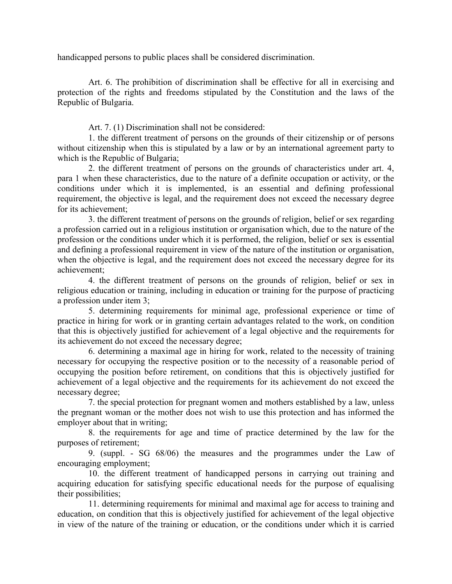handicapped persons to public places shall be considered discrimination.

Art. 6. The prohibition of discrimination shall be effective for all in exercising and protection of the rights and freedoms stipulated by the Constitution and the laws of the Republic of Bulgaria.

Art. 7. (1) Discrimination shall not be considered:

1. the different treatment of persons on the grounds of their citizenship or of persons without citizenship when this is stipulated by a law or by an international agreement party to which is the Republic of Bulgaria;

2. the different treatment of persons on the grounds of characteristics under art. 4, para 1 when these characteristics, due to the nature of a definite occupation or activity, or the conditions under which it is implemented, is an essential and defining professional requirement, the objective is legal, and the requirement does not exceed the necessary degree for its achievement;

3. the different treatment of persons on the grounds of religion, belief or sex regarding a profession carried out in a religious institution or organisation which, due to the nature of the profession or the conditions under which it is performed, the religion, belief or sex is essential and defining a professional requirement in view of the nature of the institution or organisation, when the objective is legal, and the requirement does not exceed the necessary degree for its achievement;

4. the different treatment of persons on the grounds of religion, belief or sex in religious education or training, including in education or training for the purpose of practicing a profession under item 3;

5. determining requirements for minimal age, professional experience or time of practice in hiring for work or in granting certain advantages related to the work, on condition that this is objectively justified for achievement of a legal objective and the requirements for its achievement do not exceed the necessary degree;

6. determining a maximal age in hiring for work, related to the necessity of training necessary for occupying the respective position or to the necessity of a reasonable period of occupying the position before retirement, on conditions that this is objectively justified for achievement of a legal objective and the requirements for its achievement do not exceed the necessary degree;

7. the special protection for pregnant women and mothers established by a law, unless the pregnant woman or the mother does not wish to use this protection and has informed the employer about that in writing;

8. the requirements for age and time of practice determined by the law for the purposes of retirement;

9. (suppl. - SG 68/06) the measures and the programmes under the Law of encouraging employment;

10. the different treatment of handicapped persons in carrying out training and acquiring education for satisfying specific educational needs for the purpose of equalising their possibilities;

11. determining requirements for minimal and maximal age for access to training and education, on condition that this is objectively justified for achievement of the legal objective in view of the nature of the training or education, or the conditions under which it is carried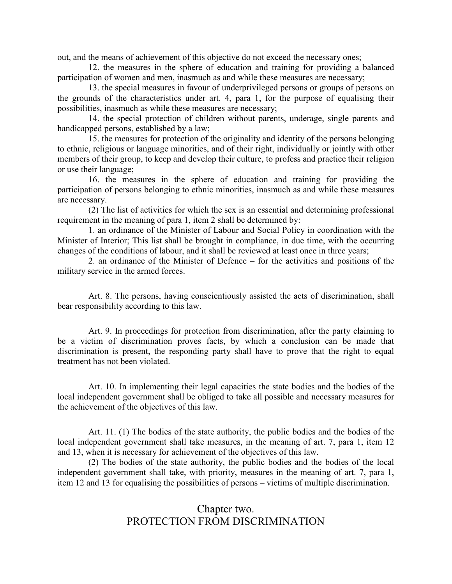out, and the means of achievement of this objective do not exceed the necessary ones;

12. the measures in the sphere of education and training for providing a balanced participation of women and men, inasmuch as and while these measures are necessary;

13. the special measures in favour of underprivileged persons or groups of persons on the grounds of the characteristics under art. 4, para 1, for the purpose of equalising their possibilities, inasmuch as while these measures are necessary;

14. the special protection of children without parents, underage, single parents and handicapped persons, established by a law;

15. the measures for protection of the originality and identity of the persons belonging to ethnic, religious or language minorities, and of their right, individually or jointly with other members of their group, to keep and develop their culture, to profess and practice their religion or use their language;

16. the measures in the sphere of education and training for providing the participation of persons belonging to ethnic minorities, inasmuch as and while these measures are necessary.

(2) The list of activities for which the sex is an essential and determining professional requirement in the meaning of para 1, item 2 shall be determined by:

1. an ordinance of the Minister of Labour and Social Policy in coordination with the Minister of Interior; This list shall be brought in compliance, in due time, with the occurring changes of the conditions of labour, and it shall be reviewed at least once in three years;

2. an ordinance of the Minister of Defence – for the activities and positions of the military service in the armed forces.

Art. 8. The persons, having conscientiously assisted the acts of discrimination, shall bear responsibility according to this law.

Art. 9. In proceedings for protection from discrimination, after the party claiming to be a victim of discrimination proves facts, by which a conclusion can be made that discrimination is present, the responding party shall have to prove that the right to equal treatment has not been violated.

Art. 10. In implementing their legal capacities the state bodies and the bodies of the local independent government shall be obliged to take all possible and necessary measures for the achievement of the objectives of this law.

Art. 11. (1) The bodies of the state authority, the public bodies and the bodies of the local independent government shall take measures, in the meaning of art. 7, para 1, item 12 and 13, when it is necessary for achievement of the objectives of this law.

(2) The bodies of the state authority, the public bodies and the bodies of the local independent government shall take, with priority, measures in the meaning of art. 7, para 1, item 12 and 13 for equalising the possibilities of persons – victims of multiple discrimination.

# Chapter two. PROTECTION FROM DISCRIMINATION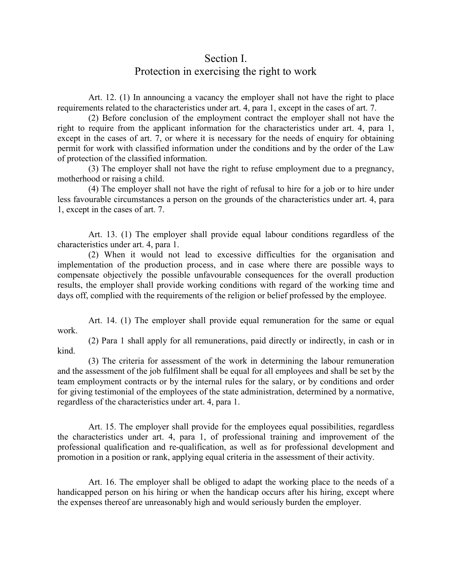# Section I. Protection in exercising the right to work

Art. 12. (1) In announcing a vacancy the employer shall not have the right to place requirements related to the characteristics under art. 4, para 1, except in the cases of art. 7.

(2) Before conclusion of the employment contract the employer shall not have the right to require from the applicant information for the characteristics under art. 4, para 1, except in the cases of art. 7, or where it is necessary for the needs of enquiry for obtaining permit for work with classified information under the conditions and by the order of the Law of protection of the classified information.

(3) The employer shall not have the right to refuse employment due to a pregnancy, motherhood or raising a child.

(4) The employer shall not have the right of refusal to hire for a job or to hire under less favourable circumstances a person on the grounds of the characteristics under art. 4, para 1, except in the cases of art. 7.

Art. 13. (1) The employer shall provide equal labour conditions regardless of the characteristics under art. 4, para 1.

(2) When it would not lead to excessive difficulties for the organisation and implementation of the production process, and in case where there are possible ways to compensate objectively the possible unfavourable consequences for the overall production results, the employer shall provide working conditions with regard of the working time and days off, complied with the requirements of the religion or belief professed by the employee.

Art. 14. (1) The employer shall provide equal remuneration for the same or equal work.

(2) Para 1 shall apply for all remunerations, paid directly or indirectly, in cash or in kind.

(3) The criteria for assessment of the work in determining the labour remuneration and the assessment of the job fulfilment shall be equal for all employees and shall be set by the team employment contracts or by the internal rules for the salary, or by conditions and order for giving testimonial of the employees of the state administration, determined by a normative, regardless of the characteristics under art. 4, para 1.

Art. 15. The employer shall provide for the employees equal possibilities, regardless the characteristics under art. 4, para 1, of professional training and improvement of the professional qualification and re-qualification, as well as for professional development and promotion in a position or rank, applying equal criteria in the assessment of their activity.

Art. 16. The employer shall be obliged to adapt the working place to the needs of a handicapped person on his hiring or when the handicap occurs after his hiring, except where the expenses thereof are unreasonably high and would seriously burden the employer.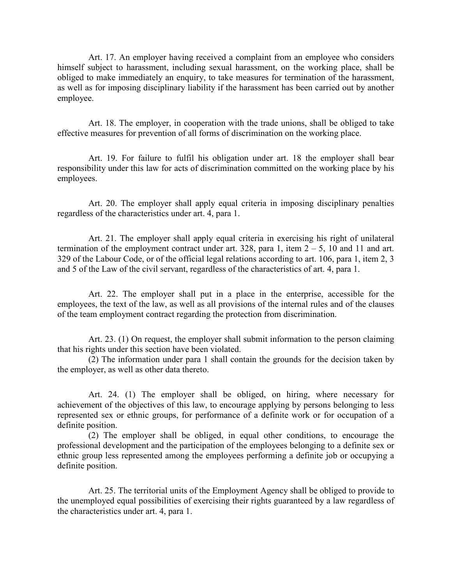Art. 17. An employer having received a complaint from an employee who considers himself subject to harassment, including sexual harassment, on the working place, shall be obliged to make immediately an enquiry, to take measures for termination of the harassment, as well as for imposing disciplinary liability if the harassment has been carried out by another employee.

Art. 18. The employer, in cooperation with the trade unions, shall be obliged to take effective measures for prevention of all forms of discrimination on the working place.

Art. 19. For failure to fulfil his obligation under art. 18 the employer shall bear responsibility under this law for acts of discrimination committed on the working place by his employees.

Art. 20. The employer shall apply equal criteria in imposing disciplinary penalties regardless of the characteristics under art. 4, para 1.

Art. 21. The employer shall apply equal criteria in exercising his right of unilateral termination of the employment contract under art. 328, para 1, item  $2 - 5$ , 10 and 11 and art. 329 of the Labour Code, or of the official legal relations according to art. 106, para 1, item 2, 3 and 5 of the Law of the civil servant, regardless of the characteristics of art. 4, para 1.

Art. 22. The employer shall put in a place in the enterprise, accessible for the employees, the text of the law, as well as all provisions of the internal rules and of the clauses of the team employment contract regarding the protection from discrimination.

Art. 23. (1) On request, the employer shall submit information to the person claiming that his rights under this section have been violated.

(2) The information under para 1 shall contain the grounds for the decision taken by the employer, as well as other data thereto.

Art. 24. (1) The employer shall be obliged, on hiring, where necessary for achievement of the objectives of this law, to encourage applying by persons belonging to less represented sex or ethnic groups, for performance of a definite work or for occupation of a definite position.

(2) The employer shall be obliged, in equal other conditions, to encourage the professional development and the participation of the employees belonging to a definite sex or ethnic group less represented among the employees performing a definite job or occupying a definite position.

Art. 25. The territorial units of the Employment Agency shall be obliged to provide to the unemployed equal possibilities of exercising their rights guaranteed by a law regardless of the characteristics under art. 4, para 1.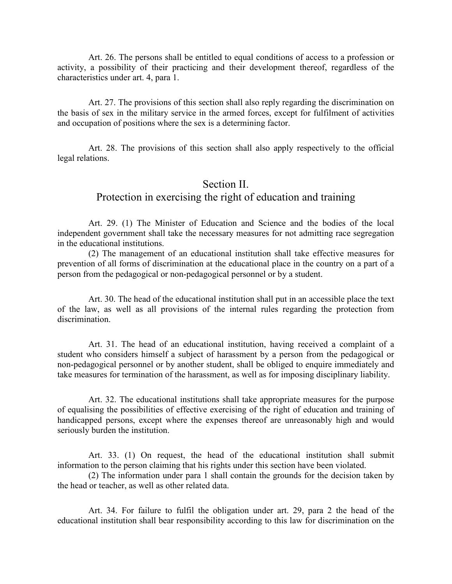Art. 26. The persons shall be entitled to equal conditions of access to a profession or activity, a possibility of their practicing and their development thereof, regardless of the characteristics under art. 4, para 1.

Art. 27. The provisions of this section shall also reply regarding the discrimination on the basis of sex in the military service in the armed forces, except for fulfilment of activities and occupation of positions where the sex is a determining factor.

Art. 28. The provisions of this section shall also apply respectively to the official legal relations.

## Section II. Protection in exercising the right of education and training

Art. 29. (1) The Minister of Education and Science and the bodies of the local independent government shall take the necessary measures for not admitting race segregation in the educational institutions.

(2) The management of an educational institution shall take effective measures for prevention of all forms of discrimination at the educational place in the country on a part of a person from the pedagogical or non-pedagogical personnel or by a student.

Art. 30. The head of the educational institution shall put in an accessible place the text of the law, as well as all provisions of the internal rules regarding the protection from discrimination.

Art. 31. The head of an educational institution, having received a complaint of a student who considers himself a subject of harassment by a person from the pedagogical or non-pedagogical personnel or by another student, shall be obliged to enquire immediately and take measures for termination of the harassment, as well as for imposing disciplinary liability.

Art. 32. The educational institutions shall take appropriate measures for the purpose of equalising the possibilities of effective exercising of the right of education and training of handicapped persons, except where the expenses thereof are unreasonably high and would seriously burden the institution.

Art. 33. (1) On request, the head of the educational institution shall submit information to the person claiming that his rights under this section have been violated.

(2) The information under para 1 shall contain the grounds for the decision taken by the head or teacher, as well as other related data.

Art. 34. For failure to fulfil the obligation under art. 29, para 2 the head of the educational institution shall bear responsibility according to this law for discrimination on the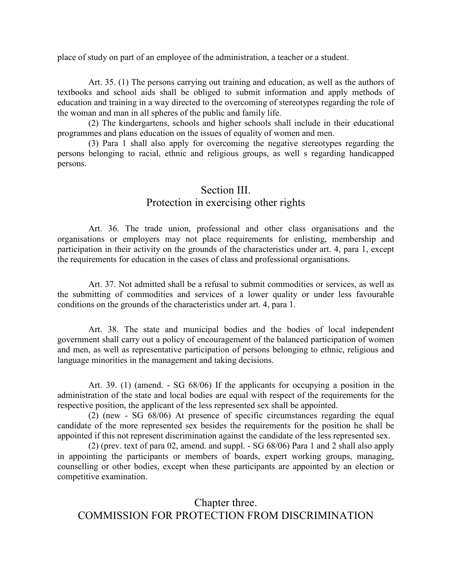place of study on part of an employee of the administration, a teacher or a student.

Art. 35. (1) The persons carrying out training and education, as well as the authors of textbooks and school aids shall be obliged to submit information and apply methods of education and training in a way directed to the overcoming of stereotypes regarding the role of the woman and man in all spheres of the public and family life.

(2) The kindergartens, schools and higher schools shall include in their educational programmes and plans education on the issues of equality of women and men.

(3) Para 1 shall also apply for overcoming the negative stereotypes regarding the persons belonging to racial, ethnic and religious groups, as well s regarding handicapped persons.

# Section III. Protection in exercising other rights

Art. 36. The trade union, professional and other class organisations and the organisations or employers may not place requirements for enlisting, membership and participation in their activity on the grounds of the characteristics under art. 4, para 1, except the requirements for education in the cases of class and professional organisations.

Art. 37. Not admitted shall be a refusal to submit commodities or services, as well as the submitting of commodities and services of a lower quality or under less favourable conditions on the grounds of the characteristics under art. 4, para 1.

Art. 38. The state and municipal bodies and the bodies of local independent government shall carry out a policy of encouragement of the balanced participation of women and men, as well as representative participation of persons belonging to ethnic, religious and language minorities in the management and taking decisions.

Art. 39. (1) (amend. - SG 68/06) If the applicants for occupying a position in the administration of the state and local bodies are equal with respect of the requirements for the respective position, the applicant of the less represented sex shall be appointed.

(2) (new - SG 68/06) At presence of specific circumstances regarding the equal candidate of the more represented sex besides the requirements for the position he shall be appointed if this not represent discrimination against the candidate of the less represented sex.

(2) (prev. text of para 02, amend. and suppl. - SG 68/06) Para 1 and 2 shall also apply in appointing the participants or members of boards, expert working groups, managing, counselling or other bodies, except when these participants are appointed by an election or competitive examination.

Chapter three. COMMISSION FOR PROTECTION FROM DISCRIMINATION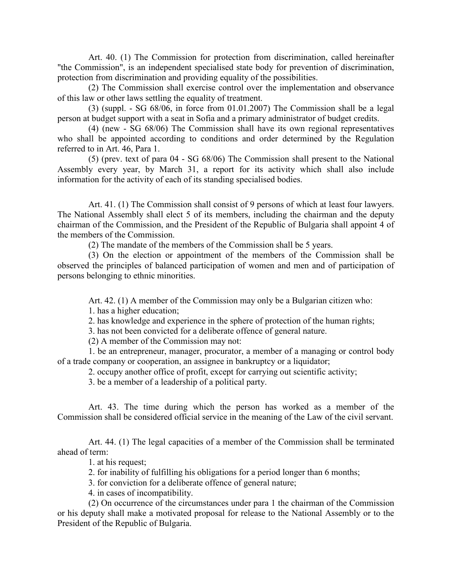Art. 40. (1) The Commission for protection from discrimination, called hereinafter "the Commission", is an independent specialised state body for prevention of discrimination, protection from discrimination and providing equality of the possibilities.

(2) The Commission shall exercise control over the implementation and observance of this law or other laws settling the equality of treatment.

(3) (suppl. - SG 68/06, in force from 01.01.2007) The Commission shall be a legal person at budget support with a seat in Sofia and a primary administrator of budget credits.

(4) (new - SG 68/06) The Commission shall have its own regional representatives who shall be appointed according to conditions and order determined by the Regulation referred to in Art. 46, Para 1.

(5) (prev. text of para 04 - SG 68/06) The Commission shall present to the National Assembly every year, by March 31, a report for its activity which shall also include information for the activity of each of its standing specialised bodies.

Art. 41. (1) The Commission shall consist of 9 persons of which at least four lawyers. The National Assembly shall elect 5 of its members, including the chairman and the deputy chairman of the Commission, and the President of the Republic of Bulgaria shall appoint 4 of the members of the Commission.

(2) The mandate of the members of the Commission shall be 5 years.

(3) On the election or appointment of the members of the Commission shall be observed the principles of balanced participation of women and men and of participation of persons belonging to ethnic minorities.

Art. 42. (1) A member of the Commission may only be a Bulgarian citizen who:

1. has a higher education;

2. has knowledge and experience in the sphere of protection of the human rights;

3. has not been convicted for a deliberate offence of general nature.

(2) A member of the Commission may not:

1. be an entrepreneur, manager, procurator, a member of a managing or control body of a trade company or cooperation, an assignee in bankruptcy or a liquidator;

2. occupy another office of profit, except for carrying out scientific activity;

3. be a member of a leadership of a political party.

Art. 43. The time during which the person has worked as a member of the Commission shall be considered official service in the meaning of the Law of the civil servant.

Art. 44. (1) The legal capacities of a member of the Commission shall be terminated ahead of term:

1. at his request;

2. for inability of fulfilling his obligations for a period longer than 6 months;

3. for conviction for a deliberate offence of general nature;

4. in cases of incompatibility.

(2) On occurrence of the circumstances under para 1 the chairman of the Commission or his deputy shall make a motivated proposal for release to the National Assembly or to the President of the Republic of Bulgaria.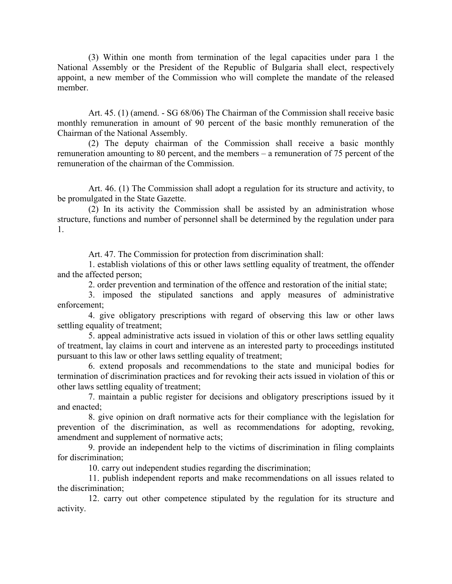(3) Within one month from termination of the legal capacities under para 1 the National Assembly or the President of the Republic of Bulgaria shall elect, respectively appoint, a new member of the Commission who will complete the mandate of the released member.

Art. 45. (1) (amend. - SG 68/06) The Chairman of the Commission shall receive basic monthly remuneration in amount of 90 percent of the basic monthly remuneration of the Chairman of the National Assembly.

(2) The deputy chairman of the Commission shall receive a basic monthly remuneration amounting to 80 percent, and the members – a remuneration of 75 percent of the remuneration of the chairman of the Commission.

Art. 46. (1) The Commission shall adopt a regulation for its structure and activity, to be promulgated in the State Gazette.

(2) In its activity the Commission shall be assisted by an administration whose structure, functions and number of personnel shall be determined by the regulation under para 1.

Art. 47. The Commission for protection from discrimination shall:

1. establish violations of this or other laws settling equality of treatment, the offender and the affected person;

2. order prevention and termination of the offence and restoration of the initial state;

3. imposed the stipulated sanctions and apply measures of administrative enforcement;

4. give obligatory prescriptions with regard of observing this law or other laws settling equality of treatment;

5. appeal administrative acts issued in violation of this or other laws settling equality of treatment, lay claims in court and intervene as an interested party to proceedings instituted pursuant to this law or other laws settling equality of treatment;

6. extend proposals and recommendations to the state and municipal bodies for termination of discrimination practices and for revoking their acts issued in violation of this or other laws settling equality of treatment;

7. maintain a public register for decisions and obligatory prescriptions issued by it and enacted<sup>-</sup>

8. give opinion on draft normative acts for their compliance with the legislation for prevention of the discrimination, as well as recommendations for adopting, revoking, amendment and supplement of normative acts;

9. provide an independent help to the victims of discrimination in filing complaints for discrimination;

10. carry out independent studies regarding the discrimination;

11. publish independent reports and make recommendations on all issues related to the discrimination;

12. carry out other competence stipulated by the regulation for its structure and activity.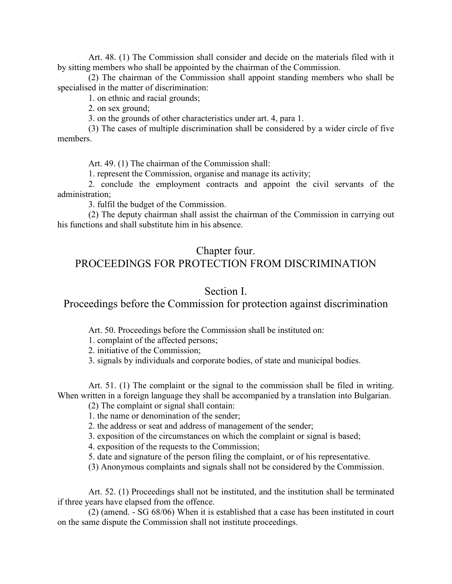Art. 48. (1) The Commission shall consider and decide on the materials filed with it by sitting members who shall be appointed by the chairman of the Commission.

(2) The chairman of the Commission shall appoint standing members who shall be specialised in the matter of discrimination:

1. on ethnic and racial grounds;

2. on sex ground;

3. on the grounds of other characteristics under art. 4, para 1.

(3) The cases of multiple discrimination shall be considered by a wider circle of five members.

Art. 49. (1) The chairman of the Commission shall:

1. represent the Commission, organise and manage its activity;

2. conclude the employment contracts and appoint the civil servants of the administration;

3. fulfil the budget of the Commission.

(2) The deputy chairman shall assist the chairman of the Commission in carrying out his functions and shall substitute him in his absence.

#### Chapter four.

### PROCEEDINGS FOR PROTECTION FROM DISCRIMINATION

#### Section I.

Proceedings before the Commission for protection against discrimination

Art. 50. Proceedings before the Commission shall be instituted on:

1. complaint of the affected persons;

2. initiative of the Commission;

3. signals by individuals and corporate bodies, of state and municipal bodies.

Art. 51. (1) The complaint or the signal to the commission shall be filed in writing. When written in a foreign language they shall be accompanied by a translation into Bulgarian.

(2) The complaint or signal shall contain:

1. the name or denomination of the sender;

2. the address or seat and address of management of the sender;

3. exposition of the circumstances on which the complaint or signal is based;

4. exposition of the requests to the Commission;

5. date and signature of the person filing the complaint, or of his representative.

(3) Anonymous complaints and signals shall not be considered by the Commission.

Art. 52. (1) Proceedings shall not be instituted, and the institution shall be terminated if three years have elapsed from the offence.

(2) (amend. - SG 68/06) When it is established that a case has been instituted in court on the same dispute the Commission shall not institute proceedings.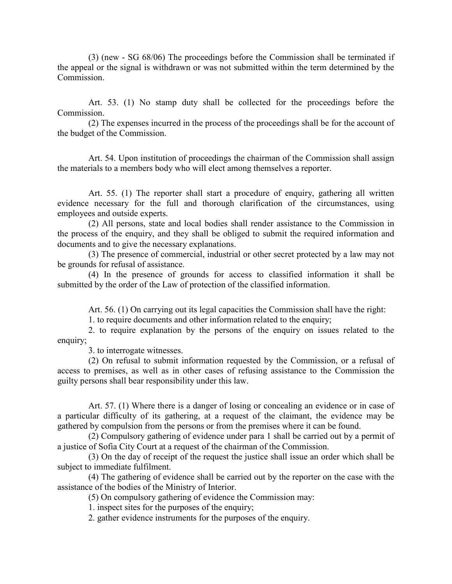(3) (new - SG 68/06) The proceedings before the Commission shall be terminated if the appeal or the signal is withdrawn or was not submitted within the term determined by the Commission.

Art. 53. (1) No stamp duty shall be collected for the proceedings before the Commission.

(2) The expenses incurred in the process of the proceedings shall be for the account of the budget of the Commission.

Art. 54. Upon institution of proceedings the chairman of the Commission shall assign the materials to a members body who will elect among themselves a reporter.

Art. 55. (1) The reporter shall start a procedure of enquiry, gathering all written evidence necessary for the full and thorough clarification of the circumstances, using employees and outside experts.

(2) All persons, state and local bodies shall render assistance to the Commission in the process of the enquiry, and they shall be obliged to submit the required information and documents and to give the necessary explanations.

(3) The presence of commercial, industrial or other secret protected by a law may not be grounds for refusal of assistance.

(4) In the presence of grounds for access to classified information it shall be submitted by the order of the Law of protection of the classified information.

Art. 56. (1) On carrying out its legal capacities the Commission shall have the right:

1. to require documents and other information related to the enquiry;

2. to require explanation by the persons of the enquiry on issues related to the enquiry;

3. to interrogate witnesses.

(2) On refusal to submit information requested by the Commission, or a refusal of access to premises, as well as in other cases of refusing assistance to the Commission the guilty persons shall bear responsibility under this law.

Art. 57. (1) Where there is a danger of losing or concealing an evidence or in case of a particular difficulty of its gathering, at a request of the claimant, the evidence may be gathered by compulsion from the persons or from the premises where it can be found.

(2) Compulsory gathering of evidence under para 1 shall be carried out by a permit of a justice of Sofia City Court at a request of the chairman of the Commission.

(3) On the day of receipt of the request the justice shall issue an order which shall be subject to immediate fulfilment.

(4) The gathering of evidence shall be carried out by the reporter on the case with the assistance of the bodies of the Ministry of Interior.

(5) On compulsory gathering of evidence the Commission may:

1. inspect sites for the purposes of the enquiry;

2. gather evidence instruments for the purposes of the enquiry.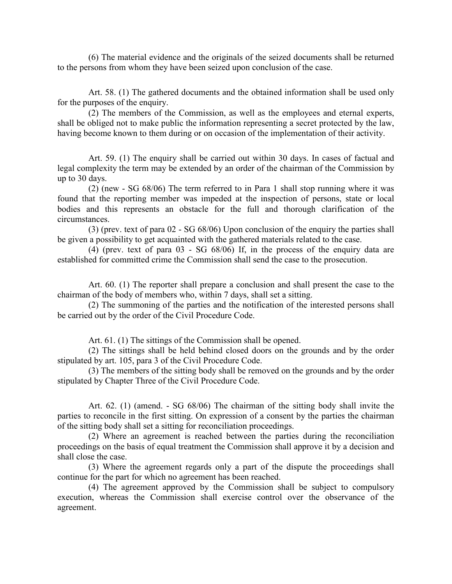(6) The material evidence and the originals of the seized documents shall be returned to the persons from whom they have been seized upon conclusion of the case.

Art. 58. (1) The gathered documents and the obtained information shall be used only for the purposes of the enquiry.

(2) The members of the Commission, as well as the employees and eternal experts, shall be obliged not to make public the information representing a secret protected by the law, having become known to them during or on occasion of the implementation of their activity.

Art. 59. (1) The enquiry shall be carried out within 30 days. In cases of factual and legal complexity the term may be extended by an order of the chairman of the Commission by up to 30 days.

(2) (new - SG 68/06) The term referred to in Para 1 shall stop running where it was found that the reporting member was impeded at the inspection of persons, state or local bodies and this represents an obstacle for the full and thorough clarification of the circumstances.

(3) (prev. text of para 02 - SG 68/06) Upon conclusion of the enquiry the parties shall be given a possibility to get acquainted with the gathered materials related to the case.

(4) (prev. text of para 03 - SG 68/06) If, in the process of the enquiry data are established for committed crime the Commission shall send the case to the prosecution.

Art. 60. (1) The reporter shall prepare a conclusion and shall present the case to the chairman of the body of members who, within 7 days, shall set a sitting.

(2) The summoning of the parties and the notification of the interested persons shall be carried out by the order of the Civil Procedure Code.

Art. 61. (1) The sittings of the Commission shall be opened.

(2) The sittings shall be held behind closed doors on the grounds and by the order stipulated by art. 105, para 3 of the Civil Procedure Code.

(3) The members of the sitting body shall be removed on the grounds and by the order stipulated by Chapter Three of the Civil Procedure Code.

Art. 62. (1) (amend. - SG 68/06) The chairman of the sitting body shall invite the parties to reconcile in the first sitting. On expression of a consent by the parties the chairman of the sitting body shall set a sitting for reconciliation proceedings.

(2) Where an agreement is reached between the parties during the reconciliation proceedings on the basis of equal treatment the Commission shall approve it by a decision and shall close the case.

(3) Where the agreement regards only a part of the dispute the proceedings shall continue for the part for which no agreement has been reached.

(4) The agreement approved by the Commission shall be subject to compulsory execution, whereas the Commission shall exercise control over the observance of the agreement.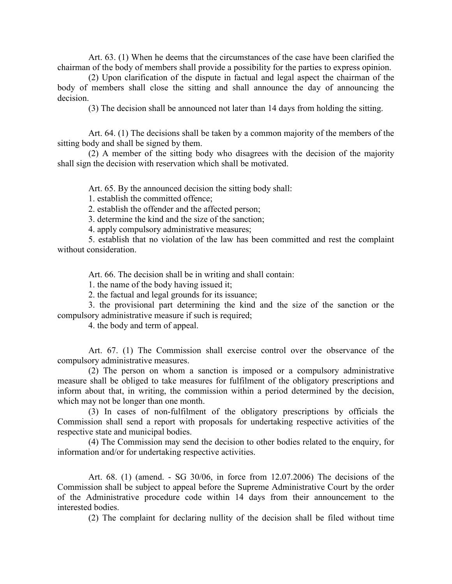Art. 63. (1) When he deems that the circumstances of the case have been clarified the chairman of the body of members shall provide a possibility for the parties to express opinion.

(2) Upon clarification of the dispute in factual and legal aspect the chairman of the body of members shall close the sitting and shall announce the day of announcing the decision.

(3) The decision shall be announced not later than 14 days from holding the sitting.

Art. 64. (1) The decisions shall be taken by a common majority of the members of the sitting body and shall be signed by them.

(2) A member of the sitting body who disagrees with the decision of the majority shall sign the decision with reservation which shall be motivated.

Art. 65. By the announced decision the sitting body shall:

1. establish the committed offence;

2. establish the offender and the affected person;

3. determine the kind and the size of the sanction;

4. apply compulsory administrative measures;

5. establish that no violation of the law has been committed and rest the complaint without consideration.

Art. 66. The decision shall be in writing and shall contain:

1. the name of the body having issued it;

2. the factual and legal grounds for its issuance;

3. the provisional part determining the kind and the size of the sanction or the compulsory administrative measure if such is required;

4. the body and term of appeal.

Art. 67. (1) The Commission shall exercise control over the observance of the compulsory administrative measures.

(2) The person on whom a sanction is imposed or a compulsory administrative measure shall be obliged to take measures for fulfilment of the obligatory prescriptions and inform about that, in writing, the commission within a period determined by the decision, which may not be longer than one month.

(3) In cases of non-fulfilment of the obligatory prescriptions by officials the Commission shall send a report with proposals for undertaking respective activities of the respective state and municipal bodies.

(4) The Commission may send the decision to other bodies related to the enquiry, for information and/or for undertaking respective activities.

Art. 68. (1) (amend. - SG 30/06, in force from 12.07.2006) The decisions of the Commission shall be subject to appeal before the Supreme Administrative Court by the order of the Administrative procedure code within 14 days from their announcement to the interested bodies.

(2) The complaint for declaring nullity of the decision shall be filed without time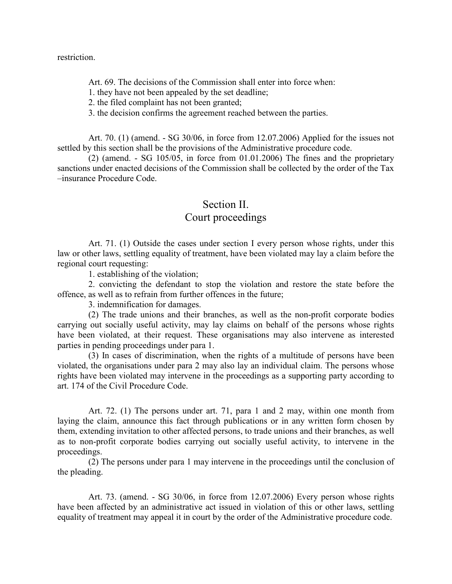restriction.

Art. 69. The decisions of the Commission shall enter into force when:

1. they have not been appealed by the set deadline;

2. the filed complaint has not been granted;

3. the decision confirms the agreement reached between the parties.

Art. 70. (1) (amend. - SG 30/06, in force from 12.07.2006) Applied for the issues not settled by this section shall be the provisions of the Administrative procedure code.

 $(2)$  (amend. - SG 105/05, in force from 01.01.2006) The fines and the proprietary sanctions under enacted decisions of the Commission shall be collected by the order of the Tax –insurance Procedure Code.

### Section II

#### Court proceedings

Art. 71. (1) Outside the cases under section I every person whose rights, under this law or other laws, settling equality of treatment, have been violated may lay a claim before the regional court requesting:

1. establishing of the violation;

2. convicting the defendant to stop the violation and restore the state before the offence, as well as to refrain from further offences in the future;

3. indemnification for damages.

(2) The trade unions and their branches, as well as the non-profit corporate bodies carrying out socially useful activity, may lay claims on behalf of the persons whose rights have been violated, at their request. These organisations may also intervene as interested parties in pending proceedings under para 1.

(3) In cases of discrimination, when the rights of a multitude of persons have been violated, the organisations under para 2 may also lay an individual claim. The persons whose rights have been violated may intervene in the proceedings as a supporting party according to art. 174 of the Civil Procedure Code.

Art. 72. (1) The persons under art. 71, para 1 and 2 may, within one month from laying the claim, announce this fact through publications or in any written form chosen by them, extending invitation to other affected persons, to trade unions and their branches, as well as to non-profit corporate bodies carrying out socially useful activity, to intervene in the proceedings.

(2) The persons under para 1 may intervene in the proceedings until the conclusion of the pleading.

Art. 73. (amend. - SG 30/06, in force from 12.07.2006) Every person whose rights have been affected by an administrative act issued in violation of this or other laws, settling equality of treatment may appeal it in court by the order of the Administrative procedure code.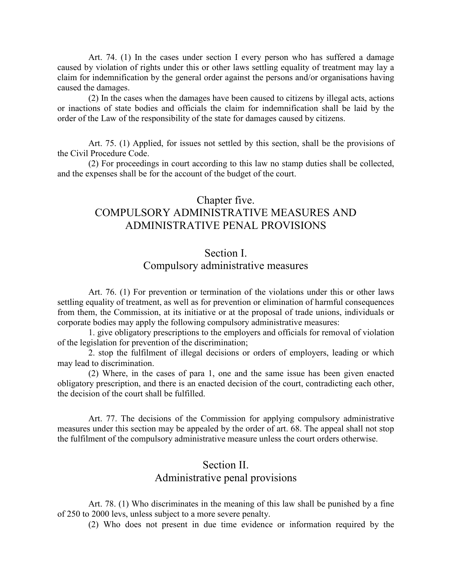Art. 74. (1) In the cases under section I every person who has suffered a damage caused by violation of rights under this or other laws settling equality of treatment may lay a claim for indemnification by the general order against the persons and/or organisations having caused the damages.

(2) In the cases when the damages have been caused to citizens by illegal acts, actions or inactions of state bodies and officials the claim for indemnification shall be laid by the order of the Law of the responsibility of the state for damages caused by citizens.

Art. 75. (1) Applied, for issues not settled by this section, shall be the provisions of the Civil Procedure Code.

(2) For proceedings in court according to this law no stamp duties shall be collected, and the expenses shall be for the account of the budget of the court.

# Chapter five. COMPULSORY ADMINISTRATIVE MEASURES AND ADMINISTRATIVE PENAL PROVISIONS

### Section I.

## Compulsory administrative measures

Art. 76. (1) For prevention or termination of the violations under this or other laws settling equality of treatment, as well as for prevention or elimination of harmful consequences from them, the Commission, at its initiative or at the proposal of trade unions, individuals or corporate bodies may apply the following compulsory administrative measures:

1. give obligatory prescriptions to the employers and officials for removal of violation of the legislation for prevention of the discrimination;

2. stop the fulfilment of illegal decisions or orders of employers, leading or which may lead to discrimination.

(2) Where, in the cases of para 1, one and the same issue has been given enacted obligatory prescription, and there is an enacted decision of the court, contradicting each other, the decision of the court shall be fulfilled.

Art. 77. The decisions of the Commission for applying compulsory administrative measures under this section may be appealed by the order of art. 68. The appeal shall not stop the fulfilment of the compulsory administrative measure unless the court orders otherwise.

## Section II Administrative penal provisions

Art. 78. (1) Who discriminates in the meaning of this law shall be punished by a fine of 250 to 2000 levs, unless subject to a more severe penalty.

(2) Who does not present in due time evidence or information required by the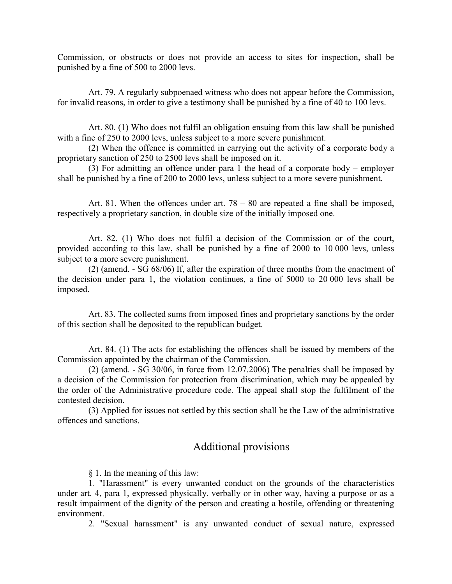Commission, or obstructs or does not provide an access to sites for inspection, shall be punished by a fine of 500 to 2000 levs.

Art. 79. A regularly subpoenaed witness who does not appear before the Commission, for invalid reasons, in order to give a testimony shall be punished by a fine of 40 to 100 levs.

Art. 80. (1) Who does not fulfil an obligation ensuing from this law shall be punished with a fine of 250 to 2000 levs, unless subject to a more severe punishment.

(2) When the offence is committed in carrying out the activity of a corporate body a proprietary sanction of 250 to 2500 levs shall be imposed on it.

(3) For admitting an offence under para 1 the head of a corporate body – employer shall be punished by a fine of 200 to 2000 levs, unless subject to a more severe punishment.

Art. 81. When the offences under art. 78 – 80 are repeated a fine shall be imposed, respectively a proprietary sanction, in double size of the initially imposed one.

Art. 82. (1) Who does not fulfil a decision of the Commission or of the court, provided according to this law, shall be punished by a fine of 2000 to 10 000 levs, unless subject to a more severe punishment.

(2) (amend. - SG 68/06) If, after the expiration of three months from the enactment of the decision under para 1, the violation continues, a fine of 5000 to 20 000 levs shall be imposed.

Art. 83. The collected sums from imposed fines and proprietary sanctions by the order of this section shall be deposited to the republican budget.

Art. 84. (1) The acts for establishing the offences shall be issued by members of the Commission appointed by the chairman of the Commission.

(2) (amend. - SG 30/06, in force from 12.07.2006) The penalties shall be imposed by a decision of the Commission for protection from discrimination, which may be appealed by the order of the Administrative procedure code. The appeal shall stop the fulfilment of the contested decision.

(3) Applied for issues not settled by this section shall be the Law of the administrative offences and sanctions.

### Additional provisions

§ 1. In the meaning of this law:

1. "Harassment" is every unwanted conduct on the grounds of the characteristics under art. 4, para 1, expressed physically, verbally or in other way, having a purpose or as a result impairment of the dignity of the person and creating a hostile, offending or threatening environment.

2. "Sexual harassment" is any unwanted conduct of sexual nature, expressed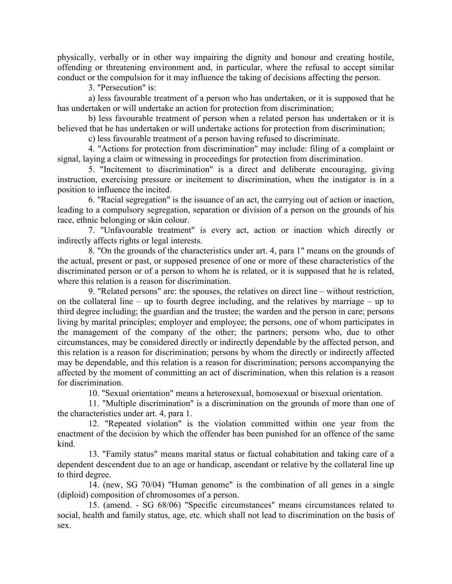physically, verbally or in other way impairing the dignity and honour and creating hostile, offending or threatening environment and, in particular, where the refusal to accept similar conduct or the compulsion for it may influence the taking of decisions affecting the person.

3. "Persecution" is:

a) less favourable treatment of a person who has undertaken, or it is supposed that he has undertaken or will undertake an action for protection from discrimination;

b) less favourable treatment of person when a related person has undertaken or it is believed that he has undertaken or will undertake actions for protection from discrimination;

c) less favourable treatment of a person having refused to discriminate.

4. "Actions for protection from discrimination" may include: filing of a complaint or signal, laying a claim or witnessing in proceedings for protection from discrimination.

5. "Incitement to discrimination" is a direct and deliberate encouraging, giving instruction, exercising pressure or incitement to discrimination, when the instigator is in a position to influence the incited.

6. "Racial segregation" is the issuance of an act, the carrying out of action or inaction, leading to a compulsory segregation, separation or division of a person on the grounds of his race, ethnic belonging or skin colour.

7. "Unfavourable treatment" is every act, action or inaction which directly or indirectly affects rights or legal interests.

8. "On the grounds of the characteristics under art. 4, para 1" means on the grounds of the actual, present or past, or supposed presence of one or more of these characteristics of the discriminated person or of a person to whom he is related, or it is supposed that he is related, where this relation is a reason for discrimination.

9. "Related persons" are: the spouses, the relatives on direct line – without restriction, on the collateral line – up to fourth degree including, and the relatives by marriage – up to third degree including; the guardian and the trustee; the warden and the person in care; persons living by marital principles; employer and employee; the persons, one of whom participates in the management of the company of the other; the partners; persons who, due to other circumstances, may be considered directly or indirectly dependable by the affected person, and this relation is a reason for discrimination; persons by whom the directly or indirectly affected may be dependable, and this relation is a reason for discrimination; persons accompanying the affected by the moment of committing an act of discrimination, when this relation is a reason for discrimination.

10. "Sexual orientation" means a heterosexual, homosexual or bisexual orientation.

11. "Multiple discrimination" is a discrimination on the grounds of more than one of the characteristics under art. 4, para 1.

12. "Repeated violation" is the violation committed within one year from the enactment of the decision by which the offender has been punished for an offence of the same kind.

13. "Family status" means marital status or factual cohabitation and taking care of a dependent descendent due to an age or handicap, ascendant or relative by the collateral line up to third degree.

14. (new, SG 70/04) "Human genome" is the combination of all genes in a single (diploid) composition of chromosomes of a person.

15. (amend. - SG 68/06) "Specific circumstances" means circumstances related to social, health and family status, age, etc. which shall not lead to discrimination on the basis of sex.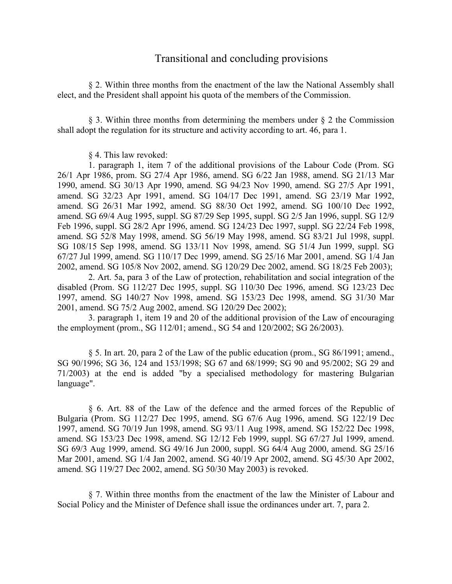#### Transitional and concluding provisions

§ 2. Within three months from the enactment of the law the National Assembly shall elect, and the President shall appoint his quota of the members of the Commission.

§ 3. Within three months from determining the members under § 2 the Commission shall adopt the regulation for its structure and activity according to art. 46, para 1.

§ 4. This law revoked:

1. paragraph 1, item 7 of the additional provisions of the Labour Code (Prom. SG 26/1 Apr 1986, prom. SG 27/4 Apr 1986, amend. SG 6/22 Jan 1988, amend. SG 21/13 Mar 1990, amend. SG 30/13 Apr 1990, amend. SG 94/23 Nov 1990, amend. SG 27/5 Apr 1991, amend. SG 32/23 Apr 1991, amend. SG 104/17 Dec 1991, amend. SG 23/19 Mar 1992, amend. SG 26/31 Mar 1992, amend. SG 88/30 Oct 1992, amend. SG 100/10 Dec 1992, amend. SG 69/4 Aug 1995, suppl. SG 87/29 Sep 1995, suppl. SG 2/5 Jan 1996, suppl. SG 12/9 Feb 1996, suppl. SG 28/2 Apr 1996, amend. SG 124/23 Dec 1997, suppl. SG 22/24 Feb 1998, amend. SG 52/8 May 1998, amend. SG 56/19 May 1998, amend. SG 83/21 Jul 1998, suppl. SG 108/15 Sep 1998, amend. SG 133/11 Nov 1998, amend. SG 51/4 Jun 1999, suppl. SG 67/27 Jul 1999, amend. SG 110/17 Dec 1999, amend. SG 25/16 Mar 2001, amend. SG 1/4 Jan 2002, amend. SG 105/8 Nov 2002, amend. SG 120/29 Dec 2002, amend. SG 18/25 Feb 2003);

2. Art. 5a, para 3 of the Law of protection, rehabilitation and social integration of the disabled (Prom. SG 112/27 Dec 1995, suppl. SG 110/30 Dec 1996, amend. SG 123/23 Dec 1997, amend. SG 140/27 Nov 1998, amend. SG 153/23 Dec 1998, amend. SG 31/30 Mar 2001, amend. SG 75/2 Aug 2002, amend. SG 120/29 Dec 2002);

3. paragraph 1, item 19 and 20 of the additional provision of the Law of encouraging the employment (prom., SG 112/01; amend., SG 54 and 120/2002; SG 26/2003).

§ 5. In art. 20, para 2 of the Law of the public education (prom., SG 86/1991; amend., SG 90/1996; SG 36, 124 and 153/1998; SG 67 and 68/1999; SG 90 and 95/2002; SG 29 and 71/2003) at the end is added "by a specialised methodology for mastering Bulgarian language".

§ 6. Art. 88 of the Law of the defence and the armed forces of the Republic of Bulgaria (Prom. SG 112/27 Dec 1995, amend. SG 67/6 Aug 1996, amend. SG 122/19 Dec 1997, amend. SG 70/19 Jun 1998, amend. SG 93/11 Aug 1998, amend. SG 152/22 Dec 1998, amend. SG 153/23 Dec 1998, amend. SG 12/12 Feb 1999, suppl. SG 67/27 Jul 1999, amend. SG 69/3 Aug 1999, amend. SG 49/16 Jun 2000, suppl. SG 64/4 Aug 2000, amend. SG 25/16 Mar 2001, amend. SG 1/4 Jan 2002, amend. SG 40/19 Apr 2002, amend. SG 45/30 Apr 2002, amend. SG 119/27 Dec 2002, amend. SG 50/30 May 2003) is revoked.

§ 7. Within three months from the enactment of the law the Minister of Labour and Social Policy and the Minister of Defence shall issue the ordinances under art. 7, para 2.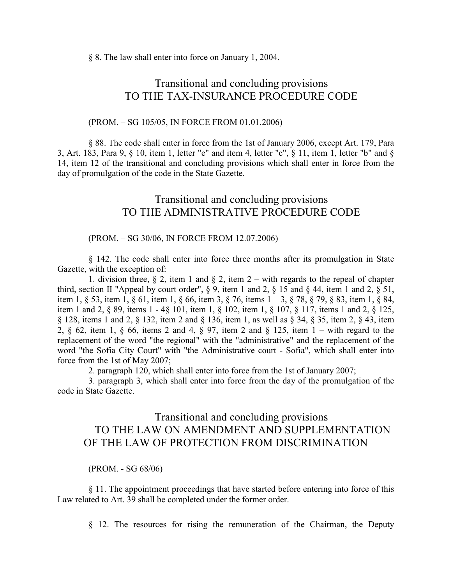§ 8. The law shall enter into force on January 1, 2004.

## Transitional and concluding provisions TO THE TAX-INSURANCE PROCEDURE CODE

#### (PROM. – SG 105/05, IN FORCE FROM 01.01.2006)

§ 88. The code shall enter in force from the 1st of January 2006, except Art. 179, Para 3, Art. 183, Para 9, § 10, item 1, letter "e" and item 4, letter "c", § 11, item 1, letter "b" and § 14, item 12 of the transitional and concluding provisions which shall enter in force from the day of promulgation of the code in the State Gazette.

## Transitional and concluding provisions TO THE ADMINISTRATIVE PROCEDURE CODE

#### (PROM. – SG 30/06, IN FORCE FROM 12.07.2006)

§ 142. The code shall enter into force three months after its promulgation in State Gazette, with the exception of:

1. division three,  $\S 2$ , item 1 and  $\S 2$ , item 2 – with regards to the repeal of chapter third, section II "Appeal by court order",  $\S 9$ , item 1 and 2,  $\S 15$  and  $\S 44$ , item 1 and 2,  $\S 51$ , item 1, § 53, item 1, § 61, item 1, § 66, item 3, § 76, items 1 – 3, § 78, § 79, § 83, item 1, § 84, item 1 and 2, § 89, items 1 - 4§ 101, item 1, § 102, item 1, § 107, § 117, items 1 and 2, § 125, § 128, items 1 and 2, § 132, item 2 and § 136, item 1, as well as § 34, § 35, item 2, § 43, item 2, § 62, item 1, § 66, items 2 and 4, § 97, item 2 and § 125, item 1 – with regard to the replacement of the word "the regional" with the "administrative" and the replacement of the word "the Sofia City Court" with "the Administrative court - Sofia", which shall enter into force from the 1st of May 2007;

2. paragraph 120, which shall enter into force from the 1st of January 2007;

3. paragraph 3, which shall enter into force from the day of the promulgation of the code in State Gazette.

# Transitional and concluding provisions TO THE LAW ON AMENDMENT AND SUPPLEMENTATION OF THE LAW OF PROTECTION FROM DISCRIMINATION

(PROM. - SG 68/06)

§ 11. The appointment proceedings that have started before entering into force of this Law related to Art. 39 shall be completed under the former order.

§ 12. The resources for rising the remuneration of the Chairman, the Deputy